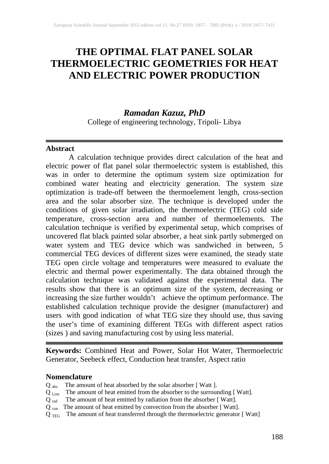# **THE OPTIMAL FLAT PANEL SOLAR THERMOELECTRIC GEOMETRIES FOR HEAT AND ELECTRIC POWER PRODUCTION**

## *Ramadan Kazuz, PhD*

College of engineering technology, Tripoli- Libya

## **Abstract**

A calculation technique provides direct calculation of the heat and electric power of flat panel solar thermoelectric system is established, this was in order to determine the optimum system size optimization for combined water heating and electricity generation. The system size optimization is trade-off between the thermoelement length, cross-section area and the solar absorber size. The technique is developed under the conditions of given solar irradiation, the thermoelectric (TEG) cold side temperature, cross-section area and number of thermoelements. The calculation technique is verified by experimental setup, which comprises of uncovered flat black painted solar absorber, a heat sink partly submerged on water system and TEG device which was sandwiched in between, 5 commercial TEG devices of different sizes were examined, the steady state TEG open circle voltage and temperatures were measured to evaluate the electric and thermal power experimentally. The data obtained through the calculation technique was validated against the experimental data. The results show that there is an optimum size of the system, decreasing or increasing the size further wouldn't achieve the optimum performance. The established calculation technique provide the designer (manufacturer) and users with good indication of what TEG size they should use, thus saving the user's time of examining different TEGs with different aspect ratios (sizes ) and saving manufacturing cost by using less material.

**Keywords:** Combined Heat and Power, Solar Hot Water, Thermoelectric Generator, Seebeck effect, Conduction heat transfer, Aspect ratio

## **Nomenclature**

- Q abs The amount of heat absorbed by the solar absorber [ Watt ].
- Q Lost The amount of heat emitted from the absorber to the surrounding [ Watt].
- Q<sub>rad</sub> The amount of heat emitted by radiation from the absorber [Watt].
- $Q_{con}$  The amount of heat emitted by convection from the absorber [Watt].
- $Q_{TEG}$  The amount of heat transferred through the thermoelectric generator [Watt]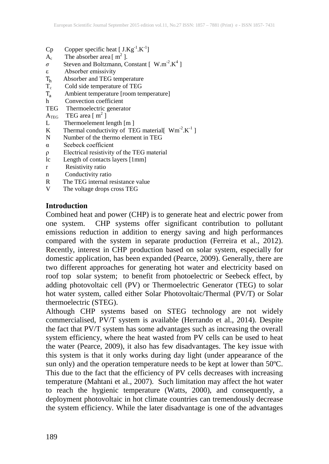- $Cp$  Copper specific heat [  $J.Kg^{-1}.K^{-1}$ ]
- $A_c$  The absorber area [ m<sup>2</sup> ].
- $\sigma$  **Steven and Boltzmann, Constant [ W.m<sup>-2</sup>.K<sup>4</sup> ]**
- ε Absorber emissivity
- $T_h$  Absorber and TEG temperature<br> $T_c$  Cold side temperature of TEG
- Cold side temperature of TEG
- $T_a$  Ambient temperature [room temperature]
- Convection coefficient
- TEG Thermoelectric generator
- $A_{\text{TEG}}$  TEG area [m<sup>2</sup>]
- L Thermoelement length [m ]
- K Thermal conductivity of TEG material [ $Wm<sup>-2</sup>$ .K<sup>-1</sup>]
- N Number of the thermo element in TEG
- α Seebeck coefficient
- ρ Electrical resistivity of the TEG material
- lc Length of contacts layers [1mm]
- r Resistivity ratio
- n Conductivity ratio
- R The TEG internal resistance value
- V The voltage drops cross TEG

## **Introduction**

Combined heat and power (CHP) is to generate heat and electric power from one system. CHP systems offer significant contribution to pollutant emissions reduction in addition to energy saving and high performances compared with the system in separate production (Ferreira et al., 2012). Recently, interest in CHP production based on solar system, especially for domestic application, has been expanded (Pearce, 2009). Generally, there are two different approaches for generating hot water and electricity based on roof top solar system; to benefit from photoelectric or Seebeck effect, by adding photovoltaic cell (PV) or Thermoelectric Generator (TEG) to solar hot water system, called either Solar Photovoltaic/Thermal (PV/T) or Solar thermoelectric (STEG).

Although CHP systems based on STEG technology are not widely commercialised, PV/T system is available (Herrando et al., 2014). Despite the fact that PV/T system has some advantages such as increasing the overall system efficiency, where the heat wasted from PV cells can be used to heat the water (Pearce, 2009), it also has few disadvantages. The key issue with this system is that it only works during day light (under appearance of the sun only) and the operation temperature needs to be kept at lower than 50ºC. This due to the fact that the efficiency of PV cells decreases with increasing temperature (Mahtani et al., 2007). Such limitation may affect the hot water to reach the hygienic temperature (Watts, 2000), and consequently, a deployment photovoltaic in hot climate countries can tremendously decrease the system efficiency. While the later disadvantage is one of the advantages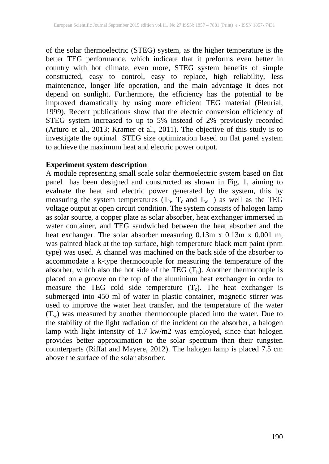of the solar thermoelectric (STEG) system, as the higher temperature is the better TEG performance, which indicate that it preforms even better in country with hot climate, even more, STEG system benefits of simple constructed, easy to control, easy to replace, high reliability, less maintenance, longer life operation, and the main advantage it does not depend on sunlight. Furthermore, the efficiency has the potential to be improved dramatically by using more efficient TEG material (Fleurial, 1999). Recent publications show that the electric conversion efficiency of STEG system increased to up to 5% instead of 2% previously recorded (Arturo et al., 2013; Kramer et al., 2011). The objective of this study is to investigate the optimal STEG size optimization based on flat panel system to achieve the maximum heat and electric power output.

## **Experiment system description**

A module representing small scale solar thermoelectric system based on flat panel has been designed and constructed as shown in Fig. 1, aiming to evaluate the heat and electric power generated by the system, this by measuring the system temperatures  $(T_h, T_c \text{ and } T_w$ ) as well as the TEG voltage output at open circuit condition. The system consists of halogen lamp as solar source, a copper plate as solar absorber, heat exchanger immersed in water container, and TEG sandwiched between the heat absorber and the heat exchanger. The solar absorber measuring 0.13m x 0.13m x 0.001 m, was painted black at the top surface, high temperature black matt paint (pnm type) was used. A channel was machined on the back side of the absorber to accommodate a k-type thermocouple for measuring the temperature of the absorber, which also the hot side of the TEG  $(T_h)$ . Another thermocouple is placed on a groove on the top of the aluminium heat exchanger in order to measure the TEG cold side temperature  $(T_c)$ . The heat exchanger is submerged into 450 ml of water in plastic container, magnetic stirrer was used to improve the water heat transfer, and the temperature of the water  $(T_w)$  was measured by another thermocouple placed into the water. Due to the stability of the light radiation of the incident on the absorber, a halogen lamp with light intensity of 1.7 kw/m2 was employed, since that halogen provides better approximation to the solar spectrum than their tungsten counterparts (Riffat and Mayere, 2012). The halogen lamp is placed 7.5 cm above the surface of the solar absorber.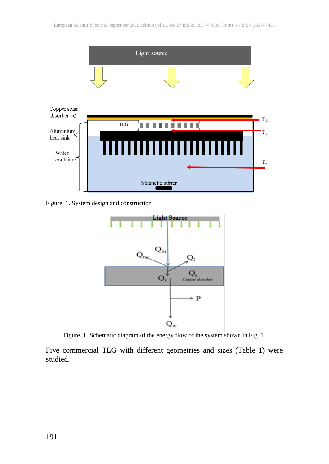

Figure. 1. System design and construction



Figure. 1. Schematic diagram of the energy flow of the system shown in Fig. 1.

Five commercial TEG with different geometries and sizes (Table 1) were studied.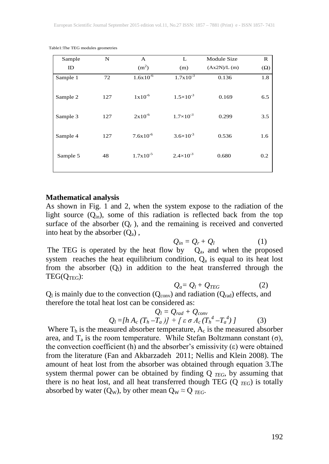| Sample   | N   | A                    | L                    | Module Size | $\mathbb{R}$ |
|----------|-----|----------------------|----------------------|-------------|--------------|
| ID       |     | (m <sup>2</sup> )    | (m)                  | (Ax2N)/L(m) | $(\Omega)$   |
| Sample 1 | 72  | $1.6x10^{-6}$        | $1.7x10^{-3}$        | 0.136       | 1.8          |
| Sample 2 | 127 | $1x10^{-6}$          | $1.5 \times 10^{-3}$ | 0.169       | 6.5          |
| Sample 3 | 127 | $2x10^{-6}$          | $1.7\times10^{-3}$   | 0.299       | 3.5          |
| Sample 4 | 127 | $7.6x10^{-6}$        | $3.6 \times 10^{-3}$ | 0.536       | 1.6          |
| Sample 5 | 48  | $1.7 \times 10^{-5}$ | $2.4 \times 10^{-3}$ | 0.680       | 0.2          |

Table1:The TEG modules geometries

#### **Mathematical analysis**

As shown in Fig. 1 and 2, when the system expose to the radiation of the light source  $(Q_{in})$ , some of this radiation is reflected back from the top surface of the absorber  $(Q_r)$ , and the remaining is received and converted into heat by the absorber  $(Q_a)$ ,

$$
Q_{in}=Q_r+Q_l\qquad \qquad (1)
$$

The TEG is operated by the heat flow by  $Q_a$ , and when the proposed system reaches the heat equilibrium condition,  $Q_a$  is equal to its heat lost from the absorber  $(Q_1)$  in addition to the heat transferred through the  $TEG(O<sub>TEG</sub>)$ :

$$
Q_a = Q_l + Q_{TEG} \tag{2}
$$

 $Q_l$  is mainly due to the convection ( $Q_{\text{conv}}$ ) and radiation ( $Q_{\text{rad}}$ ) effects, and therefore the total heat lost can be considered as:

$$
Q_l = Q_{rad} + Q_{conv}
$$
  
 
$$
Q_l = [h A_c (T_h - T_a)] + [\varepsilon \sigma A_c (T_h^4 - T_a^4)]
$$
 (3)

Where  $T_h$  is the measured absorber temperature,  $A_c$  is the measured absorber area, and  $T_a$  is the room temperature. While Stefan Boltzmann constant  $(\sigma)$ , the convection coefficient (h) and the absorber's emissivity  $(\varepsilon)$  were obtained from the literature (Fan and Akbarzadeh 2011; Nellis and Klein 2008). The amount of heat lost from the absorber was obtained through equation 3.The system thermal power can be obtained by finding Q *TEG*, by assuming that there is no heat lost, and all heat transferred though TEG  $(Q_{TEG})$  is totally absorbed by water (Q<sub>W</sub>), by other mean  $Q_W \approx Q_{TEG}$ .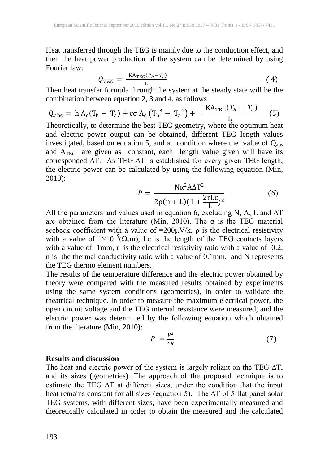Heat transferred through the TEG is mainly due to the conduction effect, and then the heat power production of the system can be determined by using Fourier law:

$$
Q_{TEG} = \frac{\text{KA}_{TEG}(T_h - T_c)}{\text{L}}
$$
(4)

Then heat transfer formula through the system at the steady state will be the combination between equation 2, 3 and 4, as follows:

$$
Q_{\rm abs} = h A_{\rm c} (T_{\rm h} - T_{\rm a}) + \varepsilon \sigma A_{\rm c} (T_{\rm h}^4 - T_{\rm a}^4) + \frac{\rm K A_{\rm TEG} (T_{\rm h} - T_{\rm c})}{L} \tag{5}
$$

Theoretically, to determine the best TEG geometry, where the optimum heat and electric power output can be obtained, different TEG length values investigated, based on equation 5, and at condition where the value of  $Q_{\text{abs}}$ and  $A_{TEG}$  are given as constant, each length value given will have its corresponded ∆T. As TEG ∆T is established for every given TEG length, the electric power can be calculated by using the following equation (Min, 2010):

$$
P = \frac{N\alpha^2 A \Delta T^2}{2\rho (n+L)(1+\frac{2rLc}{L})^2}
$$
 (6)

All the parameters and values used in equation 6, excluding N, A, L and  $\Delta T$ are obtained from the literature (Min, 2010). The  $\alpha$  is the TEG material seebeck coefficient with a value of  $=200\mu\text{V/k}$ ,  $\rho$  is the electrical resistivity with a value of  $1\times10^{-5}(\Omega,m)$ , Lc is the length of the TEG contacts layers with a value of 1mm, r is the electrical resistivity ratio with a value of 0.2, n is the thermal conductivity ratio with a value of 0.1mm, and N represents the TEG thermo element numbers.

The results of the temperature difference and the electric power obtained by theory were compared with the measured results obtained by experiments using the same system conditions (geometries), in order to validate the theatrical technique. In order to measure the maximum electrical power, the open circuit voltage and the TEG internal resistance were measured, and the electric power was determined by the following equation which obtained from the literature (Min, 2010):

$$
P = \frac{V^2}{4R} \tag{7}
$$

## **Results and discussion**

The heat and electric power of the system is largely reliant on the TEG  $\Delta T$ , and its sizes (geometries). The approach of the proposed technique is to estimate the TEG ∆T at different sizes, under the condition that the input heat remains constant for all sizes (equation 5). The ∆T of 5 flat panel solar TEG systems, with different sizes, have been experimentally measured and theoretically calculated in order to obtain the measured and the calculated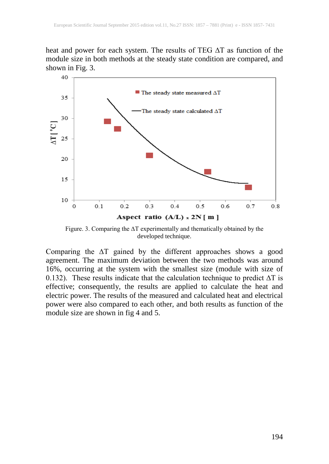heat and power for each system. The results of TEG ∆T as function of the module size in both methods at the steady state condition are compared, and shown in Fig. 3.



Figure. 3. Comparing the ∆T experimentally and thematically obtained by the developed technique.

Comparing the ∆T gained by the different approaches shows a good agreement. The maximum deviation between the two methods was around 16%, occurring at the system with the smallest size (module with size of 0.132). These results indicate that the calculation technique to predict ∆T is effective; consequently, the results are applied to calculate the heat and electric power. The results of the measured and calculated heat and electrical power were also compared to each other, and both results as function of the module size are shown in fig 4 and 5.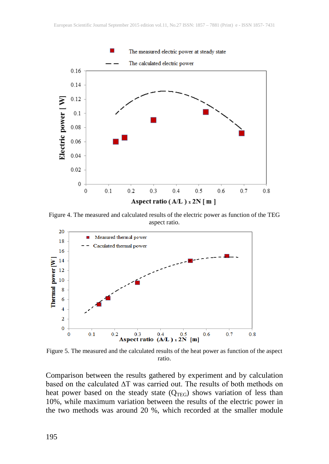

Figure 4. The measured and calculated results of the electric power as function of the TEG aspect ratio.



Figure 5. The measured and the calculated results of the heat power as function of the aspect ratio.

Comparison between the results gathered by experiment and by calculation based on the calculated ∆T was carried out. The results of both methods on heat power based on the steady state  $(Q_{TEG})$  shows variation of less than 10%, while maximum variation between the results of the electric power in the two methods was around 20 %, which recorded at the smaller module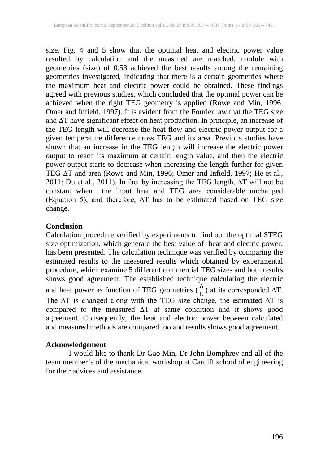size. Fig. 4 and 5 show that the optimal heat and electric power value resulted by calculation and the measured are matched, module with geometries (size) of 0.53 achieved the best results among the remaining geometries investigated, indicating that there is a certain geometries where the maximum heat and electric power could be obtained. These findings agreed with previous studies, which concluded that the optimal power can be achieved when the right TEG geometry is applied (Rowe and Min, 1996; Omer and Infield, 1997). It is evident from the Fourier law that the TEG size and ∆T have significant effect on heat production. In principle, an increase of the TEG length will decrease the heat flow and electric power output for a given temperature difference cross TEG and its area. Previous studies have shown that an increase in the TEG length will increase the electric power output to reach its maximum at certain length value, and then the electric power output starts to decrease when increasing the length further for given TEG ∆T and area (Rowe and Min, 1996; Omer and Infield, 1997; He et al., 2011; Du et al., 2011). In fact by increasing the TEG length, ∆T will not be constant when the input heat and TEG area considerable unchanged (Equation 5), and therefore, ∆T has to be estimated based on TEG size change.

## **Conclusion**

Calculation procedure verified by experiments to find out the optimal STEG size optimization, which generate the best value of heat and electric power, has been presented. The calculation technique was verified by comparing the estimated results to the measured results which obtained by experimental procedure, which examine 5 different commercial TEG sizes and both results shows good agreement. The established technique calculating the electric and heat power as function of TEG geometries  $(\frac{A}{L})$  at its corresponded  $\Delta T$ . The ∆T is changed along with the TEG size change, the estimated ∆T is compared to the measured ∆T at same condition and it shows good agreement. Consequently, the heat and electric power between calculated and measured methods are compared too and results shows good agreement.

## **Acknowledgement**

I would like to thank Dr Gao Min, Dr John Bomphrey and all of the team member's of the mechanical workshop at Cardiff school of engineering for their advices and assistance.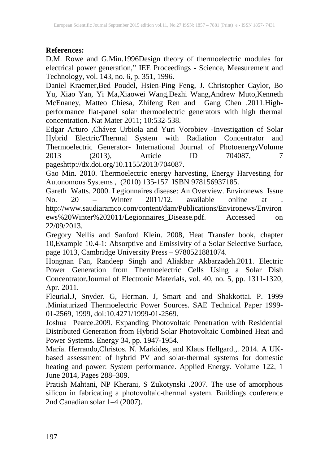## **References:**

D.M. Rowe and G.Min.1996Design theory of thermoelectric modules for electrical power generation," IEE Proceedings - Science, Measurement and Technology, vol. 143, no. 6, p. 351, 1996.

Daniel Kraemer,Bed Poudel, Hsien-Ping Feng, J. Christopher Caylor, Bo Yu, Xiao Yan, Yi Ma,Xiaowei Wang,Dezhi Wang,Andrew Muto,Kenneth McEnaney, Matteo Chiesa, Zhifeng Ren and Gang Chen .2011. Highperformance flat-panel solar thermoelectric generators with high thermal concentration. Nat Mater 2011; 10:532-538.

Edgar Arturo ,Chávez Urbiola and Yuri Vorobiev -Investigation of Solar Hybrid Electric/Thermal System with Radiation Concentrator and Thermoelectric Generator- International Journal of PhotoenergyVolume 2013 (2013), Article ID 704087, 7 pageshttp://dx.doi.org/10.1155/2013/704087.

Gao Min. 2010. Thermoelectric energy harvesting, Energy Harvesting for Autonomous Systems, (2010) 135-157 ISBN 978156937185.

Gareth Watts. 2000. Legionnaires disease: An Overview. Environews Issue<br>No. 20 – Winter 2011/12 available online at No. 20 – Winter 2011/12. available online at . [http://www.saudiaramco.com/content/dam/Publications/Environews/Environ](http://www.saudiaramco.com/content/dam/Publications/Environews/Environews%20Winter%202011/Legionnaires_Disease.pdf) [ews%20Winter%202011/Legionnaires\\_Disease.pdf.](http://www.saudiaramco.com/content/dam/Publications/Environews/Environews%20Winter%202011/Legionnaires_Disease.pdf) Accessed on 22/09/2013.

Gregory Nellis and Sanford Klein. 2008, Heat Transfer book, chapter 10,Example 10.4-1: Absorptive and Emissivity of a Solar Selective Surface, page 1013, Cambridge University Press – 9780521881074.

Hongnan Fan, Randeep Singh and Aliakbar Akbarzadeh.2011. Electric Power Generation from Thermoelectric Cells Using a Solar Dish Concentrator.Journal of Electronic Materials, vol. 40, no. 5, pp. 1311-1320, Apr. 2011.

Fleurial.J, Snyder. G, Herman. J, Smart and and Shakkottai. P. 1999 .Miniaturized Thermoelectric Power Sources. SAE Technical Paper 1999- 01-2569, 1999, doi:10.4271/1999-01-2569.

Joshua Pearce.2009. Expanding Photovoltaic Penetration with Residential Distributed Generation from Hybrid Solar Photovoltaic Combined Heat and Power Systems. Energy 34, pp. 1947-1954.

María. Herrando,Christos. N. Markides, and Klaus Hellgardt,. 2014. A UKbased assessment of hybrid PV and solar-thermal systems for domestic heating and power: System performance. Applied Energy. Volume 122, 1 June 2014, Pages 288–309.

Pratish Mahtani, NP Kherani, S Zukotynski .2007. The use of amorphous silicon in fabricating a photovoltaic-thermal system. Buildings conference 2nd Canadian solar 1–4 (2007).